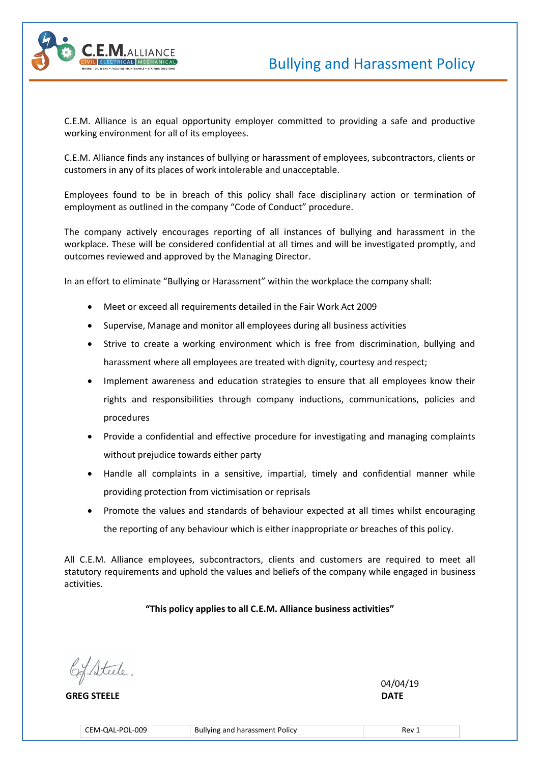



C.E.M. Alliance is an equal opportunity employer committed to providing a safe and productive working environment for all of its employees.

C.E.M. Alliance finds any instances of bullying or harassment of employees, subcontractors, clients or customers in any of its places of work intolerable and unacceptable.

Employees found to be in breach of this policy shall face disciplinary action or termination of employment as outlined in the company "Code of Conduct" procedure.

The company actively encourages reporting of all instances of bullying and harassment in the workplace. These will be considered confidential at all times and will be investigated promptly, and outcomes reviewed and approved by the Managing Director.

In an effort to eliminate "Bullying or Harassment" within the workplace the company shall:

- Meet or exceed all requirements detailed in the Fair Work Act 2009
- Supervise, Manage and monitor all employees during all business activities
- Strive to create a working environment which is free from discrimination, bullying and harassment where all employees are treated with dignity, courtesy and respect;
- Implement awareness and education strategies to ensure that all employees know their rights and responsibilities through company inductions, communications, policies and procedures
- Provide a confidential and effective procedure for investigating and managing complaints without prejudice towards either party
- Handle all complaints in a sensitive, impartial, timely and confidential manner while providing protection from victimisation or reprisals
- Promote the values and standards of behaviour expected at all times whilst encouraging the reporting of any behaviour which is either inappropriate or breaches of this policy.

All C.E.M. Alliance employees, subcontractors, clients and customers are required to meet all statutory requirements and uphold the values and beliefs of the company while engaged in business activities.

**"This policy applies to all C.E.M. Alliance business activities"**

6% Steele

 **GREG STEELE DATE** 

 $\sqrt{04/19}$